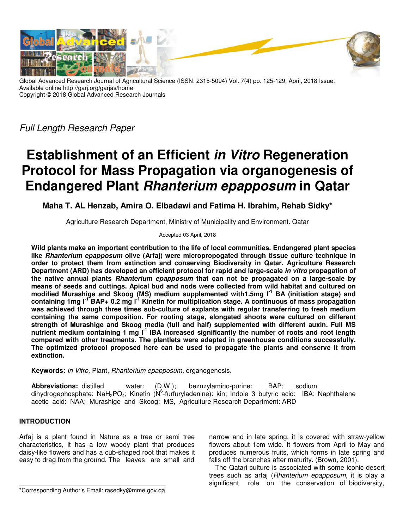

Global Advanced Research Journal of Agricultural Science (ISSN: 2315-5094) Vol. 7(4) pp. 125-129, April, 2018 Issue. Available online http://garj.org/garjas/home Copyright © 2018 Global Advanced Research Journals

Full Length Research Paper

# **Establishment of an Efficient in Vitro Regeneration Protocol for Mass Propagation via organogenesis of Endangered Plant Rhanterium epapposum in Qatar**

**Maha T. AL Henzab, Amira O. Elbadawi and Fatima H. Ibrahim, Rehab Sidky\***

Agriculture Research Department, Ministry of Municipality and Environment. Qatar

Accepted 03 April, 2018

**Wild plants make an important contribution to the life of local communities. Endangered plant species like Rhanterium epapposum olive (Arfaj) were micropropogated through tissue culture technique in order to protect them from extinction and conserving Biodiversity in Qatar. Agriculture Research Department (ARD) has developed an efficient protocol for rapid and large-scale in vitro propagation of the native annual plants Rhanterium epapposum that can not be propagated on a large-scale by means of seeds and cuttings. Apical bud and nods were collected from wild habitat and cultured on modified Murashige and Skoog (MS) medium supplemented with1.5mg l-1 BA (initiation stage) and containing 1mg l-1 BAP+ 0.2 mg l-1 Kinetin for multiplication stage. A continuous of mass propagation was achieved through three times sub-culture of explants with regular transferring to fresh medium containing the same composition. For rooting stage, elongated shoots were cultured on different strength of Murashige and Skoog media (full and half) supplemented with different auxin. Full MS nutrient medium containing 1 mg l-1 IBA increased significantly the number of roots and root length compared with other treatments. The plantlets were adapted in greenhouse conditions successfully. The optimized protocol proposed here can be used to propagate the plants and conserve it from extinction.** 

**Keywords:** In Vitro, Plant, Rhanterium epapposum, organogenesis.

**Abbreviations:** distilled water: (D.W.); beznzylamino-purine: BAP; sodium dihydrogephosphate: NaH<sub>2</sub>PO<sub>4</sub>; Kinetin (N<sup>6</sup>-furfuryladenine): kin; Indole 3 butyric acid: IBA; Naphthalene acetic acid: NAA; Murashige and Skoog: MS, Agriculture Research Department: ARD

# **INTRODUCTION**

Arfaj is a plant found in Nature as a tree or semi tree characteristics, it has a low woody plant that produces daisy-like flowers and has a cub-shaped root that makes it easy to drag from the ground. The leaves are small and

narrow and in late spring, it is covered with straw-yellow flowers about 1cm wide. It flowers from April to May and produces numerous fruits, which forms in late spring and falls off the branches after maturity. (Brown, 2001).

The Qatari culture is associated with some iconic desert trees such as arfaj (Rhanterium epapposum, it is play a significant role on the conservation of biodiversity,

<sup>\*</sup>Corresponding Author's Email: rasedky@mme.gov.qa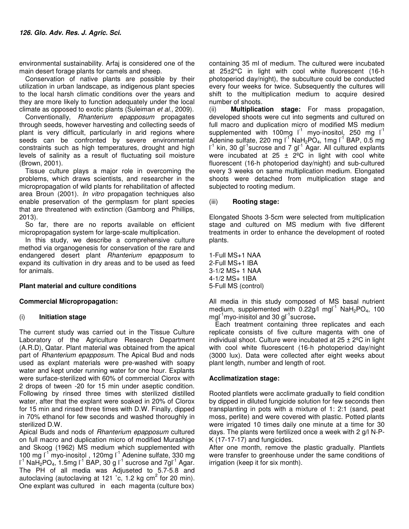environmental sustainability. Arfaj is considered one of the main desert forage plants for camels and sheep.

Conservation of native plants are possible by their utilization in urban landscape, as indigenous plant species to the local harsh climatic conditions over the years and they are more likely to function adequately under the local climate as opposed to exotic plants (Suleiman et al., 2009).

Conventionally, Rhanterium epapposum propagates through seeds, however harvesting and collecting seeds of plant is very difficult, particularly in arid regions where seeds can be confronted by severe environmental constraints such as high temperatures, drought and high levels of salinity as a result of fluctuating soil moisture (Brown, 2001).

Tissue culture plays a major role in overcoming the problems, which draws scientists, and researcher in the micropropagation of wild plants for rehabilitation of affected area Broun (2001). In vitro propagation techniques also enable preservation of the germplasm for plant species that are threatened with extinction (Gamborg and Phillips, 2013).

So far, there are no reports available on efficient micropropagation system for large-scale multiplication.

In this study, we describe a comprehensive culture method via organogenesis for conservation of the rare and endangered desert plant Rhanterium epapposum to expand its cultivation in dry areas and to be used as feed for animals.

# **Plant material and culture conditions**

# **Commercial Micropropagation:**

# (i) **Initiation stage**

The current study was carried out in the Tissue Culture Laboratory of the Agriculture Research Department (A.R.D), Qatar. Plant material was obtained from the apical part of Rhanterium epapposum. The Apical Bud and nods used as explant materials were pre-washed with soapy water and kept under running water for one hour. Explants were surface-sterilized with 60% of commercial Clorox with 2 drops of tween -20 for 15 min under aseptic condition. Following by rinsed three times with sterilized distilled water, after that the explant were soaked in 20% of Clorox for 15 min and rinsed three times with D.W. Finally, dipped in 70% ethanol for few seconds and washed thoroughly in sterilized D.W.

Apical Buds and nods of Rhanterium epapposum cultured on full macro and duplication micro of modified Murashige and Skoog (1962) MS medium which supplemented with 100 mg l<sup>-1</sup> myo-inositol , 120mg l<sup>-1</sup> Adenine sulfate, 330 mg  $I^1$  NaH<sub>2</sub>PO<sub>4</sub>, 1.5mg  $I^1$  BAP, 30 g  $I^1$  sucrose and 7g $I^1$  Agar. The PH of all media was Adjuseted to 5.7-5.8 and autoclaving (autoclaving at 121  $\degree$ c, 1.2 kg cm<sup>2</sup> for 20 min). One explant was cultured in each magenta (culture box)

containing 35 ml of medium. The cultured were incubated at 25±2°C in light with cool white fluorescent (16-h photoperiod day/night), the subculture could be conducted every four weeks for twice. Subsequently the cultures will shift to the multiplication medium to acquire desired number of shoots.

(ii) **Multiplication stage:** For mass propagation, developed shoots were cut into segments and cultured on full macro and duplication micro of modified MS medium supplemented with 100mg  $I^1$  myo-inositol, 250 mg  $I^1$ Adenine sulfate, 220 mg  $I^1$  NaH<sub>2</sub>PO<sub>4</sub>, 1mg  $I^1$  BAP, 0.5 mg  $I^1$  kin, 30 gl<sup>-1</sup>sucrose and 7 gl<sup>-1</sup> Agar. All cultured explants were incubated at 25  $\pm$  2<sup>o</sup>C in light with cool white fluorescent (16-h photoperiod day/night) and sub-cultured every 3 weeks on same multiplication medium. Elongated shoots were detached from multiplication stage and subjected to rooting medium.

# (iii) **Rooting stage:**

Elongated Shoots 3-5cm were selected from multiplication stage and cultured on MS medium with five different treatments in order to enhance the development of rooted plants.

1-Full MS+1 NAA 2-Full MS+1 IBA 3-1/2 MS+ 1 NAA 4-1/2 MS+ 1IBA 5-Full MS (control)

All media in this study composed of MS basal nutrient medium, supplemented with  $0.22g/l$  mgl<sup>-1</sup> NaH<sub>2</sub>PO<sub>4</sub>, 100 mgl-1myo-inisitol and 30 gl-1sucrose**.**

Each treatment containing three replicates and each replicate consists of five culture magenta with one of individual shoot. Culture were incubated at  $25 \pm 2^{\circ}$ C in light with cool white fluorescent (16-h photoperiod day/night (3000 lux). Data were collected after eight weeks about plant length, number and length of root.

# **Acclimatization stage:**

Rooted plantlets were acclimate gradually to field condition by dipped in diluted fungicide solution for few seconds then transplanting in pots with a mixture of 1: 2:1 (sand, peat moss, perlite) and were covered with plastic. Potted plants were irrigated 10 times daily one minute at a time for 30 days. The plants were fertilized once a week with 2 g/l N-P-K (17-17-17) and fungicides.

After one month, remove the plastic gradually. Plantlets were transfer to greenhouse under the same conditions of irrigation (keep it for six month).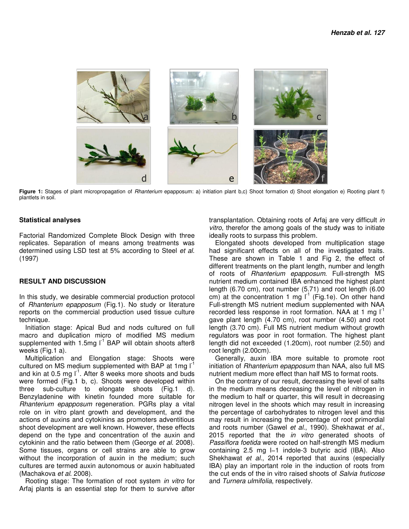

Figure 1: Stages of plant micropropagation of Rhanterium epapposum: a) initiation plant b,c) Shoot formation d) Shoot elongation e) Rooting plant f) plantlets in soil.

## **Statistical analyses**

Factorial Randomized Complete Block Design with three replicates. Separation of means among treatments was determined using LSD test at 5% according to Steel et al. (1997)

### **RESULT AND DISCUSSION**

In this study, we desirable commercial production protocol of Rhanterium epapposum (Fig.1). No study or literature reports on the commercial production used tissue culture technique.

Initiation stage: Apical Bud and nods cultured on full macro and duplication micro of modified MS medium supplemented with 1.5mg  $I^1$  BAP will obtain shoots after 8 weeks (Fig.1 a).

Multiplication and Elongation stage: Shoots were cultured on MS medium supplemented with BAP at 1mg  $I<sup>1</sup>$ and kin at 0.5 mg  $I<sup>-1</sup>$ . After 8 weeks more shoots and buds were formed (Fig.1 b, c). Shoots were developed within three sub-culture to elongate shoots (Fig.1 d). Benzyladenine with kinetin founded more suitable for Rhanterium epapposum regeneration. PGRs play a vital role on in vitro plant growth and development, and the actions of auxins and cytokinins as promoters adventitious shoot development are well known. However, these effects depend on the type and concentration of the auxin and cytokinin and the ratio between them (George et al. 2008). Some tissues, organs or cell strains are able to grow without the incorporation of auxin in the medium; such cultures are termed auxin autonomous or auxin habituated (Machakova et al. 2008).

Rooting stage: The formation of root system in vitro for Arfaj plants is an essential step for them to survive after

transplantation. Obtaining roots of Arfaj are very difficult in vitro, therefor the among goals of the study was to initiate ideally roots to surpass this problem.

Elongated shoots developed from multiplication stage had significant effects on all of the investigated traits. These are shown in Table 1 and Fig 2, the effect of different treatments on the plant length, number and length of roots of Rhanterium epapposum. Full-strength MS nutrient medium contained IBA enhanced the highest plant length (6.70 cm), root number (5.71) and root length (6.00 cm) at the concentration 1 mg  $I^1$  (Fig.1e). On other hand Full-strength MS nutrient medium supplemented with NAA recorded less response in root formation. NAA at 1 mg  $I^1$ gave plant length (4.70 cm), root number (4.50) and root length (3.70 cm). Full MS nutrient medium without growth regulators was poor in root formation. The highest plant length did not exceeded (1.20cm), root number (2.50) and root length (2.00cm).

Generally, auxin IBA more suitable to promote root initiation of Rhanterium epapposum than NAA, also full MS nutrient medium more effect than half MS to format roots.

On the contrary of our result, decreasing the level of salts in the medium means decreasing the level of nitrogen in the medium to half or quarter, this will result in decreasing nitrogen level in the shoots which may result in increasing the percentage of carbohydrates to nitrogen level and this may result in increasing the percentage of root primordial and roots number (Gawel et al., 1990). Shekhawat et al., 2015 reported that the *in vitro* generated shoots of Passiflora foetida were rooted on half-strength MS medium containing 2.5 mg l−1 indole-3 butyric acid (IBA). Also Shekhawat et al., 2014 reported that auxins (especially IBA) play an important role in the induction of roots from the cut ends of the in vitro raised shoots of Salvia fruticose and Turnera ulmifolia, respectively.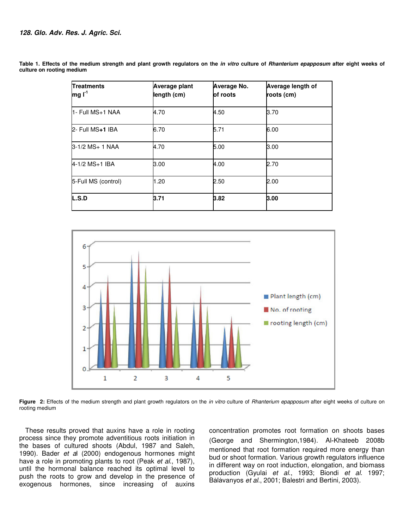| <b>Treatments</b><br>$mgI^{-1}$ | Average plant<br>length (cm) | Average No.<br>of roots | Average length of<br>roots (cm) |
|---------------------------------|------------------------------|-------------------------|---------------------------------|
| 11- Full MS+1 NAA               | 4.70                         | 4.50                    | 3.70                            |
| 2- Full MS+1 IBA                | 6.70                         | 5.71                    | 6.00                            |
| 3-1/2 MS+ 1 NAA                 | 4.70                         | 5.00                    | 3.00                            |
| $4-1/2$ MS $+1$ IBA             | 3.00                         | 4.00                    | 2.70                            |
| 5-Full MS (control)             | 1.20                         | 2.50                    | 2.00                            |
| L.S.D                           | 3.71                         | 3.82                    | 3.00                            |

**Table 1. Effects of the medium strength and plant growth regulators on the in vitro culture of Rhanterium epapposum after eight weeks of culture on rooting medium**



Figure 2: Effects of the medium strength and plant growth regulators on the *in vitro* culture of Rhanterium epapposum after eight weeks of culture on rooting medium

These results proved that auxins have a role in rooting process since they promote adventitious roots initiation in the bases of cultured shoots (Abdul, 1987 and Saleh, 1990). Bader et al (2000) endogenous hormones might have a role in promoting plants to root (Peak et al., 1987), until the hormonal balance reached its optimal level to push the roots to grow and develop in the presence of exogenous hormones, since increasing of auxins

concentration promotes root formation on shoots bases (George and Shermington,1984). Al‐Khateeb 2008b mentioned that root formation required more energy than bud or shoot formation. Various growth regulators influence in different way on root induction, elongation, and biomass production (Gyulai et al., 1993; Biondi et al. 1997; Bàlàvanyos et al., 2001; Balestri and Bertini, 2003).